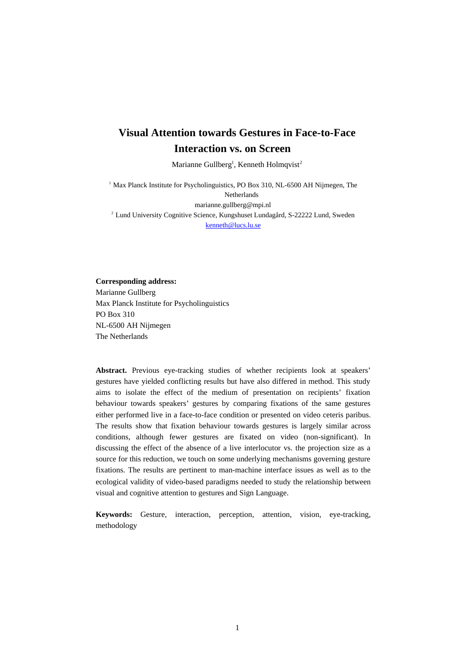# **Visual Attention towards Gestures in Face-to-Face Interaction vs. on Screen**

Marianne Gullberg<sup>1</sup>, Kenneth Holmqvist<sup>2</sup>

<sup>1</sup> Max Planck Institute for Psycholinguistics, PO Box 310, NL-6500 AH Nijmegen, The Netherlands [marianne.gullberg@mpi.nl](mailto:marianne.gullberg@mpi.nl) <sup>2</sup> Lund University Cognitive Science, Kungshuset Lundagård, S-22222 Lund, Sweden

[kenneth@lucs.lu.se](mailto:kenneth@lucs.lu.se) 

#### **Corresponding address:**

Marianne Gullberg Max Planck Institute for Psycholinguistics PO Box 310 NL-6500 AH Nijmegen The Netherlands

**Abstract.** Previous eye-tracking studies of whether recipients look at speakers' gestures have yielded conflicting results but have also differed in method. This study aims to isolate the effect of the medium of presentation on recipients' fixation behaviour towards speakers' gestures by comparing fixations of the same gestures either performed live in a face-to-face condition or presented on video ceteris paribus. The results show that fixation behaviour towards gestures is largely similar across conditions, although fewer gestures are fixated on video (non-significant). In discussing the effect of the absence of a live interlocutor vs. the projection size as a source for this reduction, we touch on some underlying mechanisms governing gesture fixations. The results are pertinent to man-machine interface issues as well as to the ecological validity of video-based paradigms needed to study the relationship between visual and cognitive attention to gestures and Sign Language.

**Keywords:** Gesture, interaction, perception, attention, vision, eye-tracking, methodology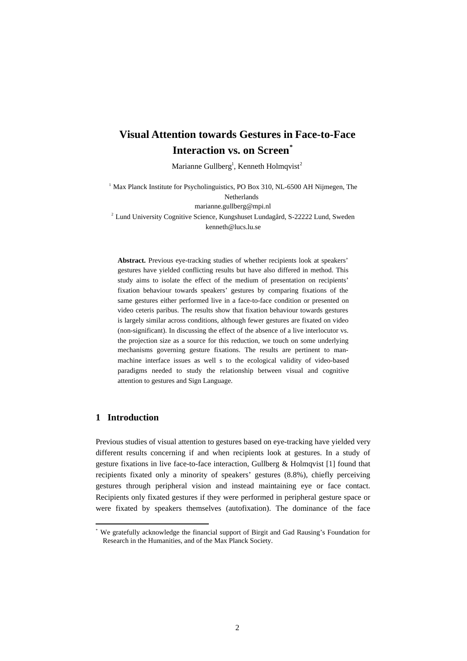# **Visual Attention towards Gestures in Face-to-Face Interaction vs. on Screen\***

Marianne Gullberg<sup>1</sup>, Kenneth Holmqvist<sup>2</sup>

<sup>1</sup> Max Planck Institute for Psycholinguistics, PO Box 310, NL-6500 AH Nijmegen, The Netherlands [marianne.gullberg@mpi.nl](mailto:marianne.gullberg@mpi.nl)

<sup>2</sup> Lund University Cognitive Science, Kungshuset Lundagård, S-22222 Lund, Sweden [kenneth@lucs.lu.se](mailto:kenneth@lucs.lu.se)

**Abstract.** Previous eye-tracking studies of whether recipients look at speakers' gestures have yielded conflicting results but have also differed in method. This study aims to isolate the effect of the medium of presentation on recipients' fixation behaviour towards speakers' gestures by comparing fixations of the same gestures either performed live in a face-to-face condition or presented on video ceteris paribus. The results show that fixation behaviour towards gestures is largely similar across conditions, although fewer gestures are fixated on video (non-significant). In discussing the effect of the absence of a live interlocutor vs. the projection size as a source for this reduction, we touch on some underlying mechanisms governing gesture fixations. The results are pertinent to manmachine interface issues as well s to the ecological validity of video-based paradigms needed to study the relationship between visual and cognitive attention to gestures and Sign Language.

### **1 Introduction**

1

Previous studies of visual attention to gestures based on eye-tracking have yielded very different results concerning if and when recipients look at gestures. In a study of gesture fixations in live face-to-face interaction, Gullberg & Holmqvist  $[1]$  found that recipients fixated only a minority of speakers' gestures (8.8%), chiefly perceiving gestures through peripheral vision and instead maintaining eye or face contact. Recipients only fixated gestures if they were performed in peripheral gesture space or were fixated by speakers themselves (autofixation). The dominance of the face

<sup>\*</sup> We gratefully acknowledge the financial support of Birgit and Gad Rausing's Foundation for Research in the Humanities, and of the Max Planck Society.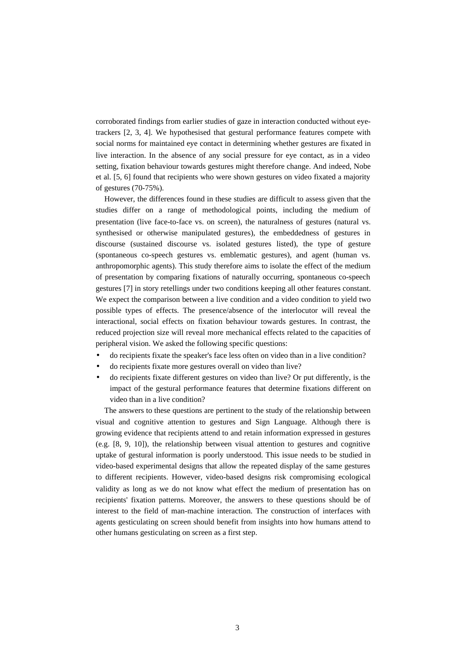corroborated findings from earlier studies of gaze in interaction conducted without eyetrackers [2, 3, 4]. We hypothesised that gestural performance features compete with social norms for maintained eye contact in determining whether gestures are fixated in live interaction. In the absence of any social pressure for eye contact, as in a video setting, fixation behaviour towards gestures might therefore change. And indeed, Nobe et al. [5, 6] found that recipients who were shown gestures on video fixated a majority of gestures (70-75%).

However, the differences found in these studies are difficult to assess given that the studies differ on a range of methodological points, including the medium of presentation (live face-to-face vs. on screen), the naturalness of gestures (natural vs. synthesised or otherwise manipulated gestures), the embeddedness of gestures in discourse (sustained discourse vs. isolated gestures listed), the type of gesture (spontaneous co-speech gestures vs. emblematic gestures), and agent (human vs. anthropomorphic agents). This study therefore aims to isolate the effect of the medium of presentation by comparing fixations of naturally occurring, spontaneous co-speech gestures [7] in story retellings under two conditions keeping all other features constant. We expect the comparison between a live condition and a video condition to yield two possible types of effects. The presence/absence of the interlocutor will reveal the interactional, social effects on fixation behaviour towards gestures. In contrast, the reduced projection size will reveal more mechanical effects related to the capacities of peripheral vision. We asked the following specific questions:

- do recipients fixate the speaker's face less often on video than in a live condition?
- do recipients fixate more gestures overall on video than live?
- do recipients fixate different gestures on video than live? Or put differently, is the impact of the gestural performance features that determine fixations different on video than in a live condition?

The answers to these questions are pertinent to the study of the relationship between visual and cognitive attention to gestures and Sign Language. Although there is growing evidence that recipients attend to and retain information expressed in gestures (e.g. [8, 9, 10]), the relationship between visual attention to gestures and cognitive uptake of gestural information is poorly understood. This issue needs to be studied in video-based experimental designs that allow the repeated display of the same gestures to different recipients. However, video-based designs risk compromising ecological validity as long as we do not know what effect the medium of presentation has on recipients' fixation patterns. Moreover, the answers to these questions should be of interest to the field of man-machine interaction. The construction of interfaces with agents gesticulating on screen should benefit from insights into how humans attend to other humans gesticulating on screen as a first step.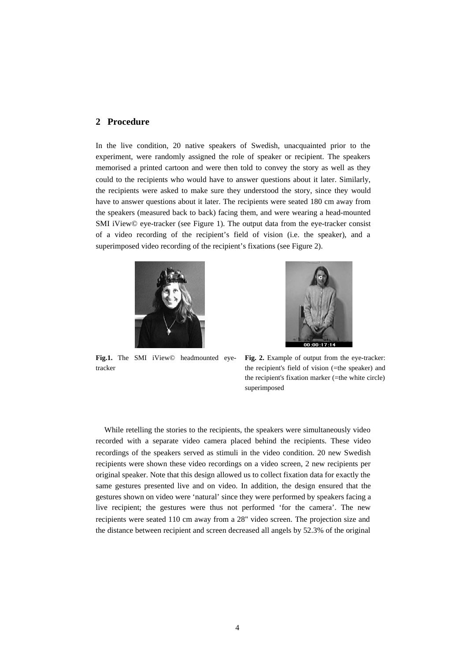#### **2 Procedure**

In the live condition, 20 native speakers of Swedish, unacquainted prior to the experiment, were randomly assigned the role of speaker or recipient. The speakers memorised a printed cartoon and were then told to convey the story as well as they could to the recipients who would have to answer questions about it later. Similarly, the recipients were asked to make sure they understood the story, since they would have to answer questions about it later. The recipients were seated 180 cm away from the speakers (measured back to back) facing them, and were wearing a head-mounted SMI iView© eye-tracker (see Figure 1). The output data from the eye-tracker consist of a video recording of the recipient's field of vision (i.e. the speaker), and a superimposed video recording of the recipient's fixations (see Figure 2).





tracker

**Fig.1.** The SMI iView© headmounted eye-**Fig. 2.** Example of output from the eye-tracker: the recipient's field of vision (=the speaker) and the recipient's fixation marker (=the white circle) superimposed

While retelling the stories to the recipients, the speakers were simultaneously video recorded with a separate video camera placed behind the recipients. These video recordings of the speakers served as stimuli in the video condition. 20 new Swedish recipients were shown these video recordings on a video screen, 2 new recipients per original speaker. Note that this design allowed us to collect fixation data for exactly the same gestures presented live and on video. In addition, the design ensured that the gestures shown on video were 'natural' since they were performed by speakers facing a live recipient; the gestures were thus not performed 'for the camera'. The new recipients were seated 110 cm away from a 28" video screen. The projection size and the distance between recipient and screen decreased all angels by 52.3% of the original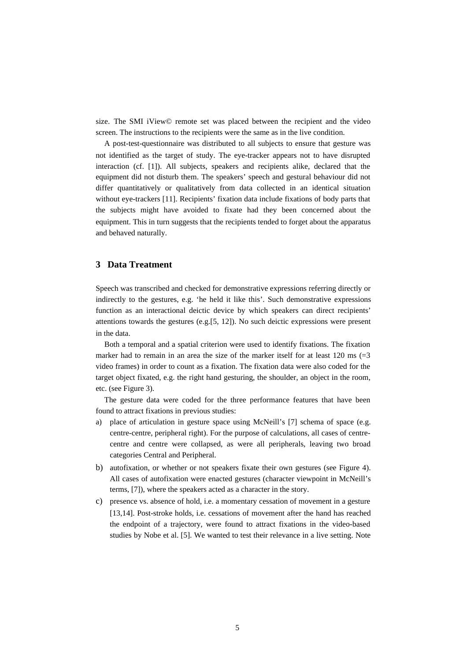size. The SMI iView© remote set was placed between the recipient and the video screen. The instructions to the recipients were the same as in the live condition.

A post-test-questionnaire was distributed to all subjects to ensure that gesture was not identified as the target of study. The eye-tracker appears not to have disrupted interaction (cf. [1]). All subjects, speakers and recipients alike, declared that the equipment did not disturb them. The speakers' speech and gestural behaviour did not differ quantitatively or qualitatively from data collected in an identical situation without eye-trackers [11]. Recipients' fixation data include fixations of body parts that the subjects might have avoided to fixate had they been concerned about the equipment. This in turn suggests that the recipients tended to forget about the apparatus and behaved naturally.

### **3 Data Treatment**

Speech was transcribed and checked for demonstrative expressions referring directly or indirectly to the gestures, e.g. 'he held it like this'. Such demonstrative expressions function as an interactional deictic device by which speakers can direct recipients' attentions towards the gestures (e.g.[5, 12]). No such deictic expressions were present in the data.

Both a temporal and a spatial criterion were used to identify fixations. The fixation marker had to remain in an area the size of the marker itself for at least  $120 \text{ ms } (=3)$ video frames) in order to count as a fixation. The fixation data were also coded for the target object fixated, e.g. the right hand gesturing, the shoulder, an object in the room, etc. (see Figure 3).

The gesture data were coded for the three performance features that have been found to attract fixations in previous studies:

- a) place of articulation in gesture space using McNeill's [7] schema of space (e.g. centre-centre, peripheral right). For the purpose of calculations, all cases of centrecentre and centre were collapsed, as were all peripherals, leaving two broad categories Central and Peripheral.
- b) autofixation, or whether or not speakers fixate their own gestures (see Figure 4). All cases of autofixation were enacted gestures (character viewpoint in McNeill's terms, [7]), where the speakers acted as a character in the story.
- c) presence vs. absence of hold, i.e. a momentary cessation of movement in a gesture [13,14]. Post-stroke holds, i.e. cessations of movement after the hand has reached the endpoint of a trajectory, were found to attract fixations in the video-based studies by Nobe et al. [5]. We wanted to test their relevance in a live setting. Note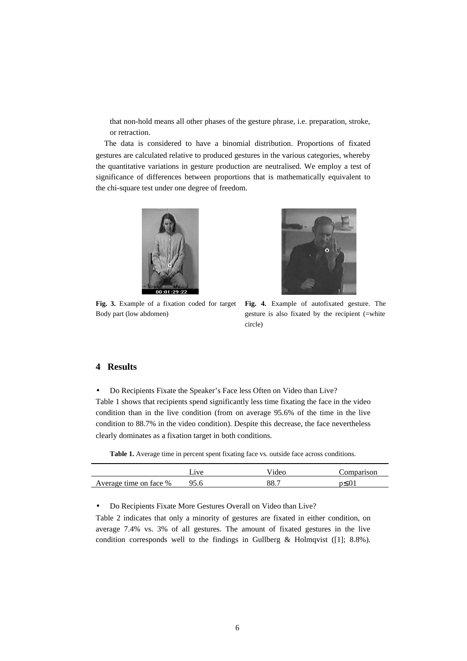that non-hold means all other phases of the gesture phrase, i.e. preparation, stroke, or retraction.

The data is considered to have a binomial distribution. Proportions of fixated gestures are calculated relative to produced gestures in the various categories, whereby the quantitative variations in gesture production are neutralised. We employ a test of significance of differences between proportions that is mathematically equivalent to the chi-square test under one degree of freedom.



**Fig. 3.** Example of a fixation coded for target **Fig. 4.** Example of autofixated gesture. The Body part (low abdomen)



gesture is also fixated by the recipient (=white circle)

## **4 Results**

• Do Recipients Fixate the Speaker's Face less Often on Video than Live?

Table 1 shows that recipients spend significantly less time fixating the face in the video condition than in the live condition (from on average 95.6% of the time in the live condition to 88.7% in the video condition). Despite this decrease, the face nevertheless clearly dominates as a fixation target in both conditions.

**Table 1.** Average time in percent spent fixating face vs. outside face across conditions.

|                        | 1V <sub>e</sub> | $7$ ideo        | `omparison |
|------------------------|-----------------|-----------------|------------|
| Average time on face % |                 | $\circ \circ$ – |            |

• Do Recipients Fixate More Gestures Overall on Video than Live?

Table 2 indicates that only a minority of gestures are fixated in either condition, on average 7.4% vs. 3% of all gestures. The amount of fixated gestures in the live condition corresponds well to the findings in Gullberg & Holmqvist ([1]; 8.8%).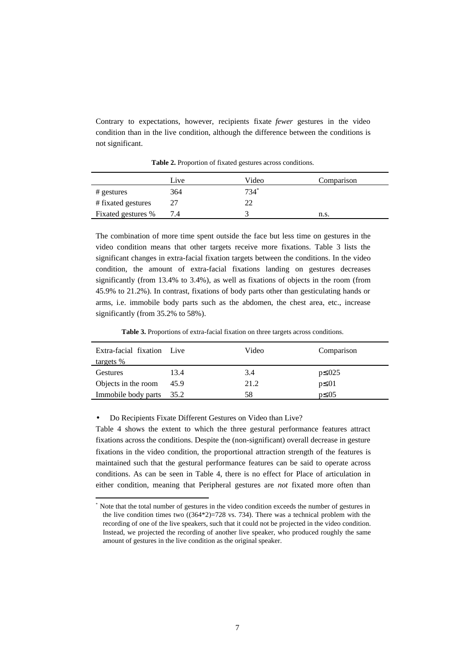Contrary to expectations, however, recipients fixate *fewer* gestures in the video condition than in the live condition, although the difference between the conditions is not significant.

|                    | Live | Video | Comparison |
|--------------------|------|-------|------------|
| $\#$ gestures      | 364  | 734*  |            |
| # fixated gestures |      | --    |            |
| Fixated gestures % | 7.4  |       | n.s.       |

**Table 2.** Proportion of fixated gestures across conditions.

The combination of more time spent outside the face but less time on gestures in the video condition means that other targets receive more fixations. Table 3 lists the significant changes in extra-facial fixation targets between the conditions. In the video condition, the amount of extra-facial fixations landing on gestures decreases significantly (from 13.4% to 3.4%), as well as fixations of objects in the room (from 45.9% to 21.2%). In contrast, fixations of body parts other than gesticulating hands or arms, i.e. immobile body parts such as the abdomen, the chest area, etc., increase significantly (from 35.2% to 58%).

**Table 3.** Proportions of extra-facial fixation on three targets across conditions.

| Extra-facial fixation Live |      | Comparison<br>Video |               |
|----------------------------|------|---------------------|---------------|
| targets %                  |      |                     |               |
| Gestures                   | 13.4 | 3.4                 | $p\leq 0.025$ |
| Objects in the room        | 45.9 | 21.2                | $p\leq 01$    |
| Immobile body parts 35.2   |      | 58                  | p≤.05         |

• Do Recipients Fixate Different Gestures on Video than Live?

1

Table 4 shows the extent to which the three gestural performance features attract fixations across the conditions. Despite the (non-significant) overall decrease in gesture fixations in the video condition, the proportional attraction strength of the features is maintained such that the gestural performance features can be said to operate across conditions. As can be seen in Table 4, there is no effect for Place of articulation in either condition, meaning that Peripheral gestures are *not* fixated more often than

<sup>\*</sup> Note that the total number of gestures in the video condition exceeds the number of gestures in the live condition times two  $((364<sup>*</sup>2)=728$  vs. 734). There was a technical problem with the recording of one of the live speakers, such that it could not be projected in the video condition. Instead, we projected the recording of another live speaker, who produced roughly the same amount of gestures in the live condition as the original speaker.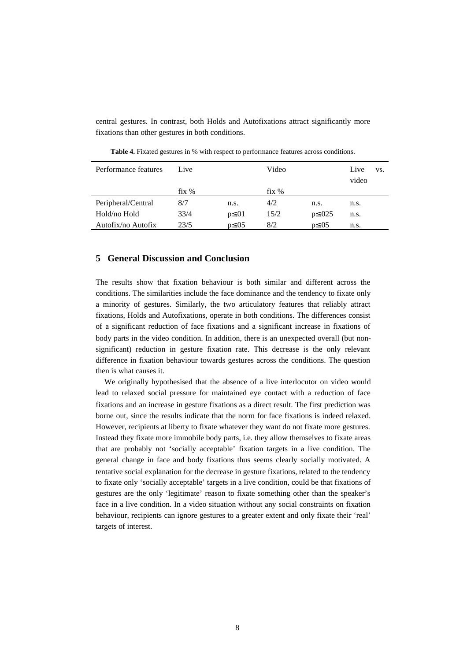central gestures. In contrast, both Holds and Autofixations attract significantly more fixations than other gestures in both conditions.

| Performance features | Live.   |              | Video   |               | Live<br>video | VS. |
|----------------------|---------|--------------|---------|---------------|---------------|-----|
|                      | $fix\%$ |              | fix $%$ |               |               |     |
| Peripheral/Central   | 8/7     | n.s.         | 4/2     | n.s.          | n.s.          |     |
| Hold/no Hold         | 33/4    | $p\leq 01$   | 15/2    | $p\leq 0.025$ | n.s.          |     |
| Autofix/no Autofix   | 23/5    | $p\leq 0.05$ | 8/2     | p≤.05         | n.s.          |     |

**Table 4.** Fixated gestures in % with respect to performance features across conditions.

### **5 General Discussion and Conclusion**

The results show that fixation behaviour is both similar and different across the conditions. The similarities include the face dominance and the tendency to fixate only a minority of gestures. Similarly, the two articulatory features that reliably attract fixations, Holds and Autofixations, operate in both conditions. The differences consist of a significant reduction of face fixations and a significant increase in fixations of body parts in the video condition. In addition, there is an unexpected overall (but nonsignificant) reduction in gesture fixation rate. This decrease is the only relevant difference in fixation behaviour towards gestures across the conditions. The question then is what causes it.

We originally hypothesised that the absence of a live interlocutor on video would lead to relaxed social pressure for maintained eye contact with a reduction of face fixations and an increase in gesture fixations as a direct result. The first prediction was borne out, since the results indicate that the norm for face fixations is indeed relaxed. However, recipients at liberty to fixate whatever they want do not fixate more gestures. Instead they fixate more immobile body parts, i.e. they allow themselves to fixate areas that are probably not 'socially acceptable' fixation targets in a live condition. The general change in face and body fixations thus seems clearly socially motivated. A tentative social explanation for the decrease in gesture fixations, related to the tendency to fixate only 'socially acceptable' targets in a live condition, could be that fixations of gestures are the only 'legitimate' reason to fixate something other than the speaker's face in a live condition. In a video situation without any social constraints on fixation behaviour, recipients can ignore gestures to a greater extent and only fixate their 'real' targets of interest.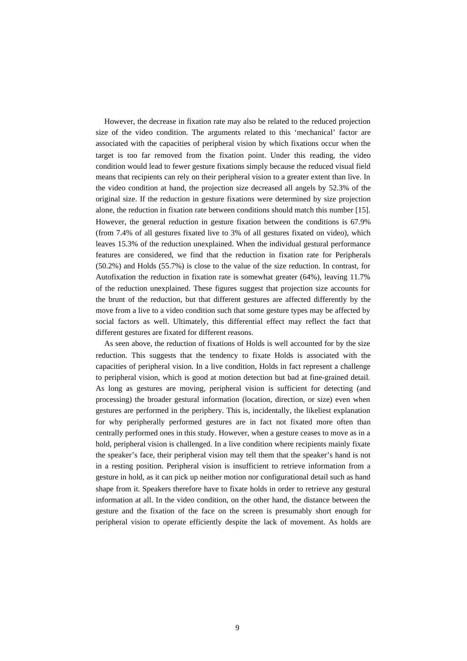However, the decrease in fixation rate may also be related to the reduced projection size of the video condition. The arguments related to this 'mechanical' factor are associated with the capacities of peripheral vision by which fixations occur when the target is too far removed from the fixation point. Under this reading, the video condition would lead to fewer gesture fixations simply because the reduced visual field means that recipients can rely on their peripheral vision to a greater extent than live. In the video condition at hand, the projection size decreased all angels by 52.3% of the original size. If the reduction in gesture fixations were determined by size projection alone, the reduction in fixation rate between conditions should match this number [15]. However, the general reduction in gesture fixation between the conditions is 67.9% (from 7.4% of all gestures fixated live to 3% of all gestures fixated on video), which leaves 15.3% of the reduction unexplained. When the individual gestural performance features are considered, we find that the reduction in fixation rate for Peripherals (50.2%) and Holds (55.7%) is close to the value of the size reduction. In contrast, for Autofixation the reduction in fixation rate is somewhat greater (64%), leaving 11.7% of the reduction unexplained. These figures suggest that projection size accounts for the brunt of the reduction, but that different gestures are affected differently by the move from a live to a video condition such that some gesture types may be affected by social factors as well. Ultimately, this differential effect may reflect the fact that different gestures are fixated for different reasons.

As seen above, the reduction of fixations of Holds is well accounted for by the size reduction. This suggests that the tendency to fixate Holds is associated with the capacities of peripheral vision. In a live condition, Holds in fact represent a challenge to peripheral vision, which is good at motion detection but bad at fine-grained detail. As long as gestures are moving, peripheral vision is sufficient for detecting (and processing) the broader gestural information (location, direction, or size) even when gestures are performed in the periphery. This is, incidentally, the likeliest explanation for why peripherally performed gestures are in fact not fixated more often than centrally performed ones in this study. However, when a gesture ceases to move as in a hold, peripheral vision is challenged. In a live condition where recipients mainly fixate the speaker's face, their peripheral vision may tell them that the speaker's hand is not in a resting position. Peripheral vision is insufficient to retrieve information from a gesture in hold, as it can pick up neither motion nor configurational detail such as hand shape from it. Speakers therefore have to fixate holds in order to retrieve any gestural information at all. In the video condition, on the other hand, the distance between the gesture and the fixation of the face on the screen is presumably short enough for peripheral vision to operate efficiently despite the lack of movement. As holds are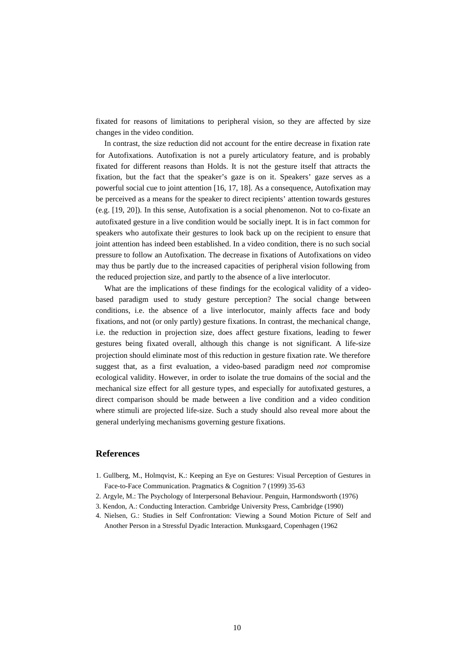fixated for reasons of limitations to peripheral vision, so they are affected by size changes in the video condition.

In contrast, the size reduction did not account for the entire decrease in fixation rate for Autofixations. Autofixation is not a purely articulatory feature, and is probably fixated for different reasons than Holds. It is not the gesture itself that attracts the fixation, but the fact that the speaker's gaze is on it. Speakers' gaze serves as a powerful social cue to joint attention [16, 17, 18]. As a consequence, Autofixation may be perceived as a means for the speaker to direct recipients' attention towards gestures (e.g. [19, 20]). In this sense, Autofixation is a social phenomenon. Not to co-fixate an autofixated gesture in a live condition would be socially inept. It is in fact common for speakers who autofixate their gestures to look back up on the recipient to ensure that joint attention has indeed been established. In a video condition, there is no such social pressure to follow an Autofixation. The decrease in fixations of Autofixations on video may thus be partly due to the increased capacities of peripheral vision following from the reduced projection size, and partly to the absence of a live interlocutor.

What are the implications of these findings for the ecological validity of a videobased paradigm used to study gesture perception? The social change between conditions, i.e. the absence of a live interlocutor, mainly affects face and body fixations, and not (or only partly) gesture fixations. In contrast, the mechanical change, i.e. the reduction in projection size, does affect gesture fixations, leading to fewer gestures being fixated overall, although this change is not significant. A life-size projection should eliminate most of this reduction in gesture fixation rate. We therefore suggest that, as a first evaluation, a video-based paradigm need *not* compromise ecological validity. However, in order to isolate the true domains of the social and the mechanical size effect for all gesture types, and especially for autofixated gestures, a direct comparison should be made between a live condition and a video condition where stimuli are projected life-size. Such a study should also reveal more about the general underlying mechanisms governing gesture fixations.

### **References**

- 1. Gullberg, M., Holmqvist, K.: Keeping an Eye on Gestures: Visual Perception of Gestures in Face-to-Face Communication. Pragmatics & Cognition 7 (1999) 35-63
- 2. Argyle, M.: The Psychology of Interpersonal Behaviour. Penguin, Harmondsworth (1976)
- 3. Kendon, A.: Conducting Interaction. Cambridge University Press, Cambridge (1990)
- 4. Nielsen, G.: Studies in Self Confrontation: Viewing a Sound Motion Picture of Self and Another Person in a Stressful Dyadic Interaction. Munksgaard, Copenhagen (1962